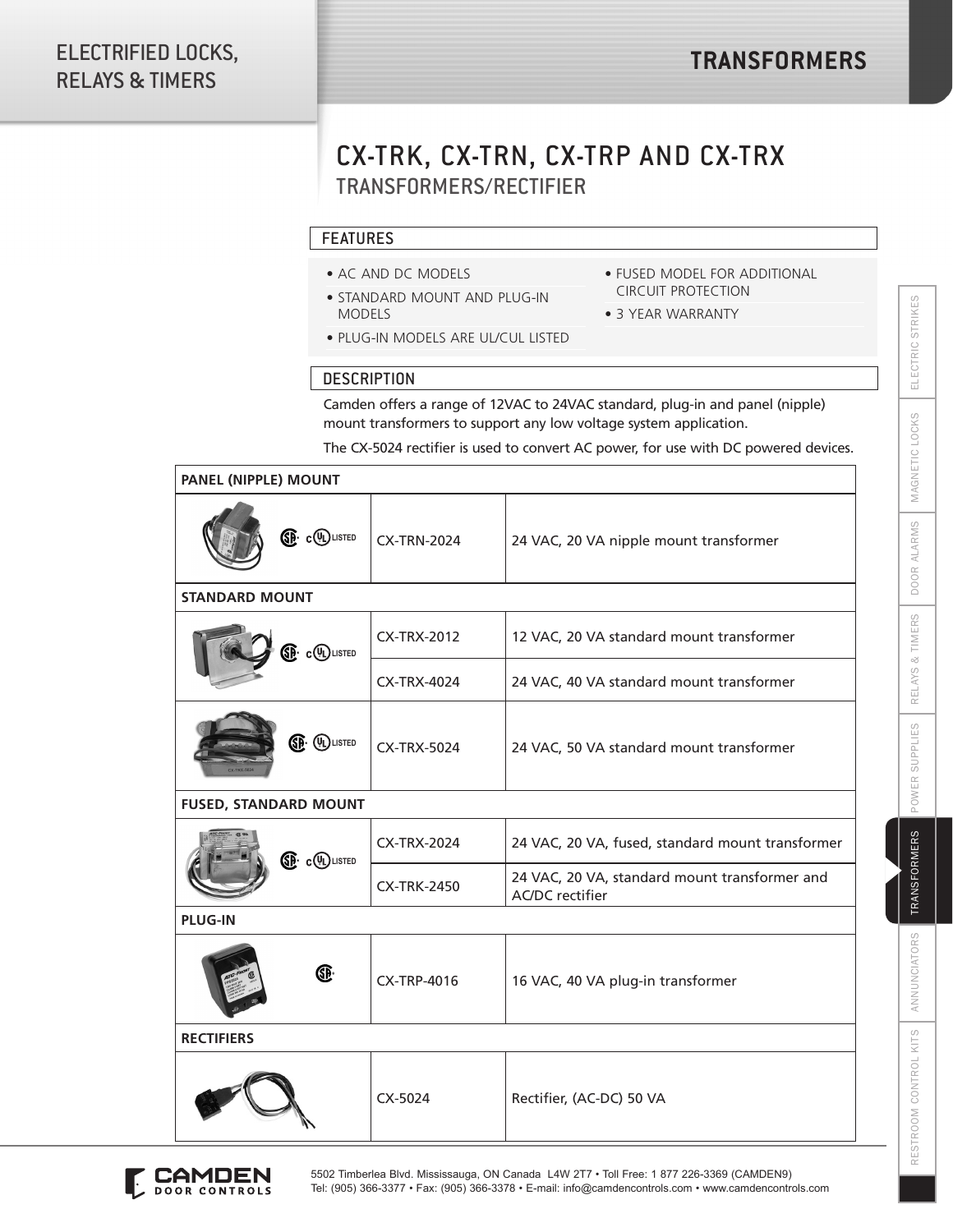## CX-TRK, CX-TRN, CX-TRP AND CX-TRX TRANSFORMERS/RECTIFIER

## FEATURES

- AC AND DC MODELS
- STANDARD MOUNT AND PLUG-IN MODELS
- FUSED MODEL FOR ADDITIONAL CIRCUIT PROTECTION
- 3 YEAR WARRANTY
- PLUG-IN MODELS ARE UL/CUL LISTED

## **DESCRIPTION**

Camden offers a range of 12VAC to 24VAC standard, plug-in and panel (nipple) mount transformers to support any low voltage system application.

The CX-5024 rectifier is used to convert AC power, for use with DC powered devices.

| PANEL (NIPPLE) MOUNT            |                    |                                                                         |
|---------------------------------|--------------------|-------------------------------------------------------------------------|
| <b>ED</b> COLISTED              | <b>CX-TRN-2024</b> | 24 VAC, 20 VA nipple mount transformer                                  |
| <b>STANDARD MOUNT</b>           |                    |                                                                         |
| <b>O</b> c(DLISTED              | <b>CX-TRX-2012</b> | 12 VAC, 20 VA standard mount transformer                                |
|                                 | <b>CX-TRX-4024</b> | 24 VAC, 40 VA standard mount transformer                                |
| <b>SP</b> (DLISTED              | <b>CX-TRX-5024</b> | 24 VAC, 50 VA standard mount transformer                                |
| <b>FUSED, STANDARD MOUNT</b>    |                    |                                                                         |
| <b><sup>SD</sup></b> c (DLISTED | CX-TRX-2024        | 24 VAC, 20 VA, fused, standard mount transformer                        |
|                                 | <b>CX-TRK-2450</b> | 24 VAC, 20 VA, standard mount transformer and<br><b>AC/DC</b> rectifier |
| <b>PLUG-IN</b>                  |                    |                                                                         |
| Œ.                              | <b>CX-TRP-4016</b> | 16 VAC, 40 VA plug-in transformer                                       |
| <b>RECTIFIERS</b>               |                    |                                                                         |
|                                 | CX-5024            | Rectifier, (AC-DC) 50 VA                                                |



ANNUNCIATORS

RESTROOM CONTROL KITS